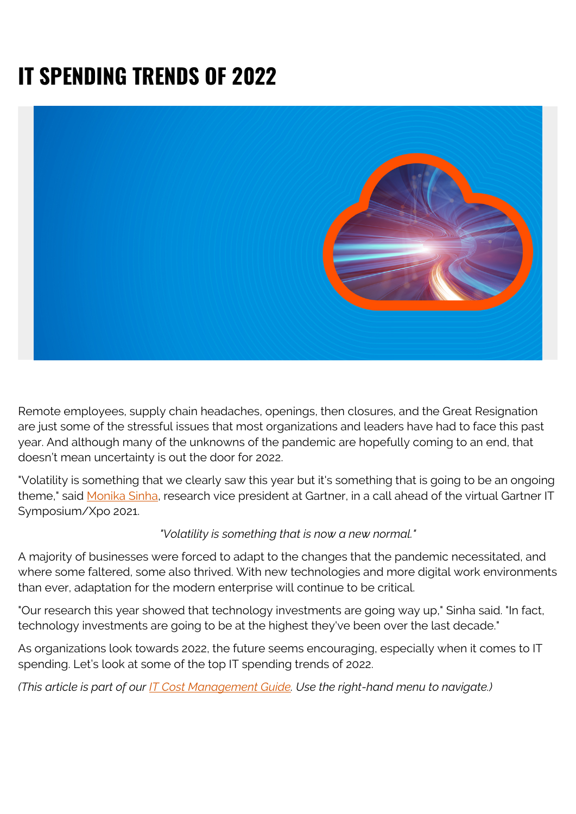# **IT SPENDING TRENDS OF 2022**



Remote employees, supply chain headaches, openings, then closures, and the Great Resignation are just some of the stressful issues that most organizations and leaders have had to face this past year. And although many of the unknowns of the pandemic are hopefully coming to an end, that doesn't mean uncertainty is out the door for 2022.

"Volatility is something that we clearly saw this year but it's something that is going to be an ongoing theme," said [Monika Sinha](https://www.gartner.com/en/experts/monika-sinha), research vice president at Gartner, in a call ahead of the virtual Gartner IT Symposium/Xpo 2021.

#### *"Volatility is something that is now a new normal."*

A majority of businesses were forced to adapt to the changes that the pandemic necessitated, and where some faltered, some also thrived. With new technologies and more digital work environments than ever, adaptation for the modern enterprise will continue to be critical.

"Our research this year showed that technology investments are going way up," Sinha said. "In fact, technology investments are going to be at the highest they've been over the last decade."

As organizations look towards 2022, the future seems encouraging, especially when it comes to IT spending. Let's look at some of the top IT spending trends of 2022.

*(This article is part of our [IT Cost Management Guide.](https://blogs.bmc.com/blogs/it-budget-management/) Use the right-hand menu to navigate.)*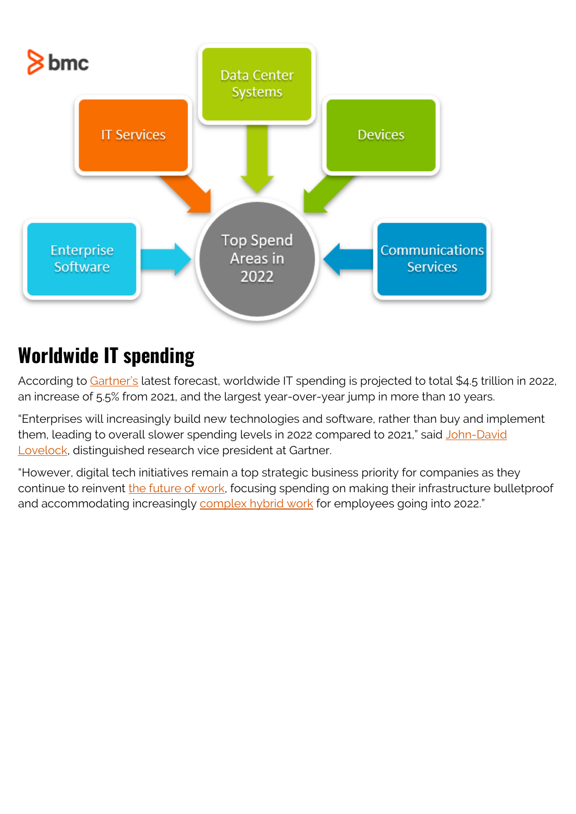

## **Worldwide IT spending**

According to [Gartner's](https://www.gartner.com/en) latest forecast, worldwide IT spending is projected to total \$4.5 trillion in 2022, an increase of 5.5% from 2021, and the largest year-over-year jump in more than 10 years.

"Enterprises will increasingly build new technologies and software, rather than buy and implement them, leading to overall slower spending levels in 2022 compared to 2021," said [John-David](https://www.gartner.com/en/experts/john-lovelock) [Lovelock,](https://www.gartner.com/en/experts/john-lovelock) distinguished research vice president at Gartner.

"However, digital tech initiatives remain a top strategic business priority for companies as they continue to reinvent [the future of work](https://blogs.bmc.com/blogs/back-to-office/), focusing spending on making their infrastructure bulletproof and accommodating increasingly [complex hybrid work](https://blogs.bmc.com/blogs/hybrid-it/) for employees going into 2022."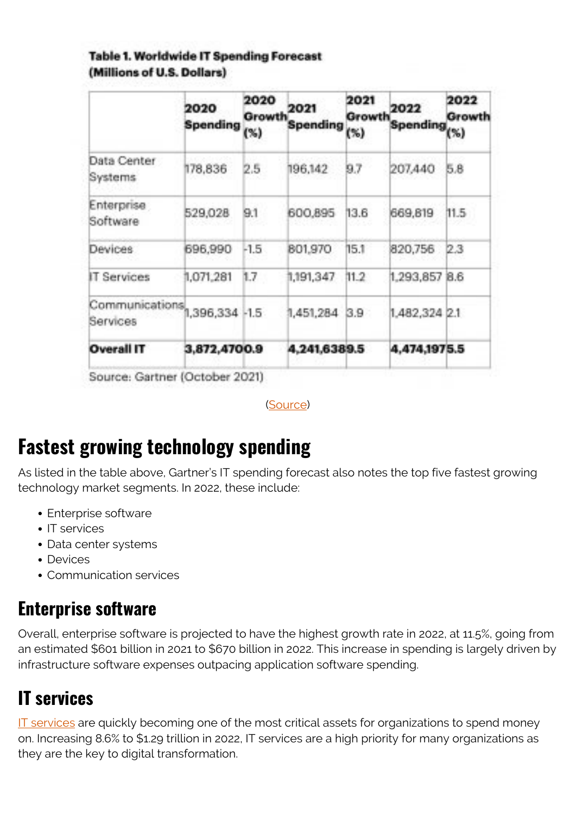#### **Table 1. Worldwide IT Spending Forecast** (Millions of U.S. Dollars)

|                                                                 | 2020<br><b>Spending</b> | 2020<br>Growth<br>(% ) | 2021<br>Spending | 2021<br>Growth<br>(%) | 2022<br>Spending <sub>(%)</sub> | 2022<br>Growth |
|-----------------------------------------------------------------|-------------------------|------------------------|------------------|-----------------------|---------------------------------|----------------|
| Data Center<br>Systems                                          | 178,836                 | 2.5                    | 196,142          | 9.7                   | 207,440                         | 5.8            |
| Enterprise<br>Software                                          | 529,028                 | 9.1                    | 600.895          | 13.6                  | 669,819                         | 11.5           |
| Devices                                                         | 696,990                 | $-1.5$                 | 801,970          | 15.1                  | 820.756                         | 2.3            |
| Services                                                        | 1.071.281               | 1.7                    | 1:191.347        | 41.2                  | 1.293.857                       | <b>B.6</b>     |
| $\overline{\text{Communications}}_{1,396,334}$ -1.5<br>Services |                         |                        | 1,451,284        | $_{3.9}$              | 1.482.324 2.1                   |                |
| <b>Overall IT</b>                                               | 3.872.4700.9            |                        | 4.241.6389.5     |                       | 4.474,1975.5                    |                |

Source: Gartner (October 2021)

([Source](https://www.gartner.com/en/newsroom/press-releases/2021-10-20-gartner-forecasts-worldwide-it-spending-to-exceed-4-trillion-in-2022))

### **Fastest growing technology spending**

As listed in the table above, Gartner's IT spending forecast also notes the top five fastest growing technology market segments. In 2022, these include:

- Enterprise software
- IT services
- Data center systems
- Devices
- Communication services

### **Enterprise software**

Overall, enterprise software is projected to have the highest growth rate in 2022, at 11.5%, going from an estimated \$601 billion in 2021 to \$670 billion in 2022. This increase in spending is largely driven by infrastructure software expenses outpacing application software spending.

### **IT services**

[IT services](https://blogs.bmc.com/blogs/it-service/) are quickly becoming one of the most critical assets for organizations to spend money on. Increasing 8.6% to \$1.29 trillion in 2022, IT services are a high priority for many organizations as they are the key to digital transformation.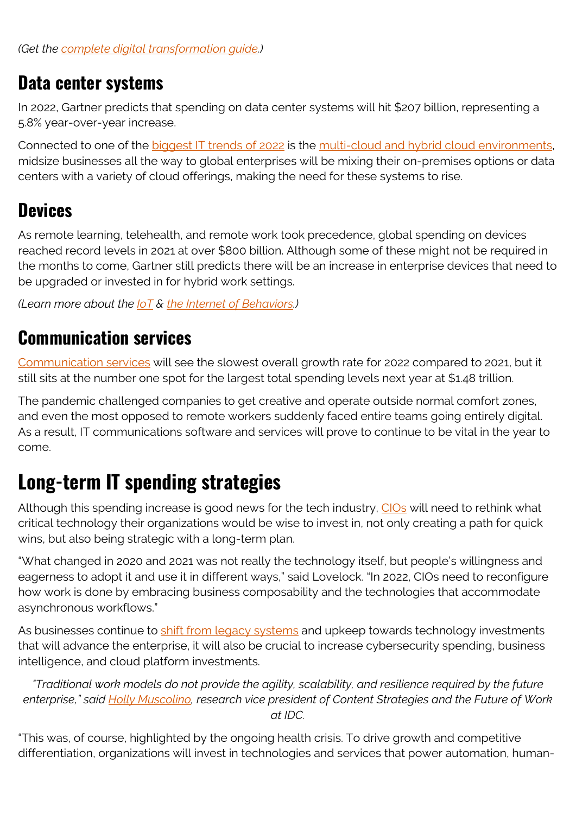#### **Data center systems**

In 2022, Gartner predicts that spending on data center systems will hit \$207 billion, representing a 5.8% year-over-year increase.

Connected to one of the [biggest IT trends of 2022](https://blogs.bmc.com/blogs/it-trends/) is the [multi-cloud and hybrid cloud environments,](https://blogs.bmc.com/blogs/hybrid-cloud-vs-multi-cloud-whats-the-difference) midsize businesses all the way to global enterprises will be mixing their on-premises options or data centers with a variety of cloud offerings, making the need for these systems to rise.

### **Devices**

As remote learning, telehealth, and remote work took precedence, global spending on devices reached record levels in 2021 at over \$800 billion. Although some of these might not be required in the months to come, Gartner still predicts there will be an increase in enterprise devices that need to be upgraded or invested in for hybrid work settings.

*(Learn more about the [IoT](https://blogs.bmc.com/blogs/iot-internet-of-things/) & [the Internet of Behaviors](https://blogs.bmc.com/blogs/iob-internet-of-behavior/).)*

### **Communication services**

[Communication services](https://blogs.bmc.com/it-solutions/transforming-telecommunications.html) will see the slowest overall growth rate for 2022 compared to 2021, but it still sits at the number one spot for the largest total spending levels next year at \$1.48 trillion.

The pandemic challenged companies to get creative and operate outside normal comfort zones, and even the most opposed to remote workers suddenly faced entire teams going entirely digital. As a result, IT communications software and services will prove to continue to be vital in the year to come.

### **Long-term IT spending strategies**

Although this spending increase is good news for the tech industry, [CIOs](https://blogs.bmc.com/blogs/cio-vs-cto-whats-the-difference/) will need to rethink what critical technology their organizations would be wise to invest in, not only creating a path for quick wins, but also being strategic with a long-term plan.

"What changed in 2020 and 2021 was not really the technology itself, but people's willingness and eagerness to adopt it and use it in different ways," said Lovelock. "In 2022, CIOs need to reconfigure how work is done by embracing business composability and the technologies that accommodate asynchronous workflows."

As businesses continue to [shift from legacy systems](https://blogs.bmc.com/blogs/application-software-modernization/) and upkeep towards technology investments that will advance the enterprise, it will also be crucial to increase cybersecurity spending, business intelligence, and cloud platform investments.

*"Traditional work models do not provide the agility, scalability, and resilience required by the future enterprise," said [Holly Muscolino,](https://www.idc.com/getdoc.jsp?containerId=PRF003643) research vice president of Content Strategies and the Future of Work at IDC.*

"This was, of course, highlighted by the ongoing health crisis. To drive growth and competitive differentiation, organizations will invest in technologies and services that power automation, human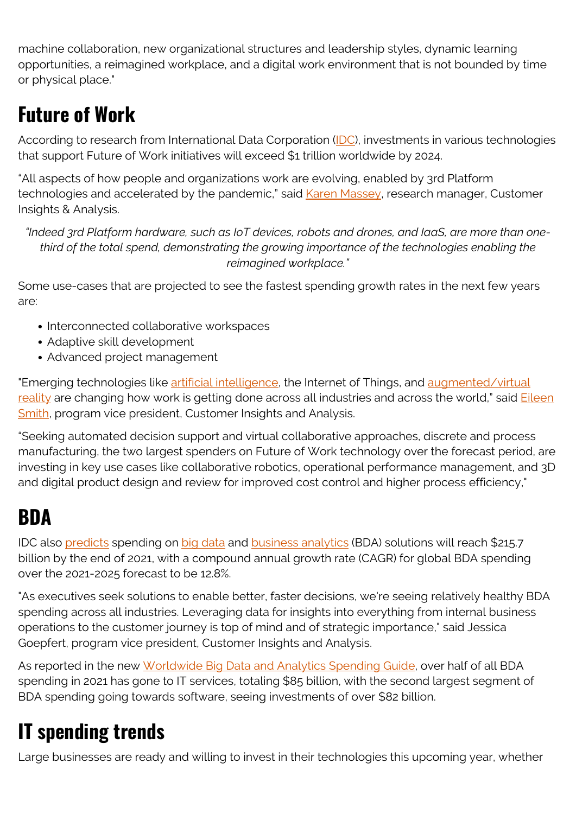machine collaboration, new organizational structures and leadership styles, dynamic learning opportunities, a reimagined workplace, and a digital work environment that is not bounded by time or physical place."

## **Future of Work**

According to research from International Data Corporation [\(IDC\)](https://www.idc.com/), investments in various technologies that support Future of Work initiatives will exceed \$1 trillion worldwide by 2024.

"All aspects of how people and organizations work are evolving, enabled by 3rd Platform technologies and accelerated by the pandemic," said [Karen Massey](https://www.idc.com/getdoc.jsp?containerId=PRF004831), research manager, Customer Insights & Analysis.

*"Indeed 3rd Platform hardware, such as IoT devices, robots and drones, and IaaS, are more than onethird of the total spend, demonstrating the growing importance of the technologies enabling the reimagined workplace."*

Some use-cases that are projected to see the fastest spending growth rates in the next few years are:

- Interconnected collaborative workspaces
- Adaptive skill development
- Advanced project management

"Emerging technologies like [artificial intelligence,](https://blogs.bmc.com/blogs/artificial-intelligence-vs-machine-learning/) the Internet of Things, and [augmented/virtual](https://blogs.bmc.com/blogs/augmented-reality-cloud/) [reality](https://blogs.bmc.com/blogs/augmented-reality-cloud/) are changing how work is getting done across all industries and across the world," said **Eileen** [Smith,](https://www.idc.com/getdoc.jsp?containerId=PRF003925) program vice president, Customer Insights and Analysis.

"Seeking automated decision support and virtual collaborative approaches, discrete and process manufacturing, the two largest spenders on Future of Work technology over the forecast period, are investing in key use cases like collaborative robotics, operational performance management, and 3D and digital product design and review for improved cost control and higher process efficiency,"

### **BDA**

IDC also [predicts](https://www.gartner.com/en/newsroom/press-releases/2021-10-20-gartner-forecasts-worldwide-it-spending-to-exceed-4-trillion-in-2022#:~:text=Worldwide%20IT%20spending%20is%20projected,latest%20forecast%20by%20Gartner%2C%20Inc.) spending on [big data](https://blogs.bmc.com/blogs/big-data/) and [business analytics](https://blogs.bmc.com/blogs/data-analytics-vs-data-analysis) (BDA) solutions will reach \$215.7 billion by the end of 2021, with a compound annual growth rate (CAGR) for global BDA spending over the 2021-2025 forecast to be 12.8%.

"As executives seek solutions to enable better, faster decisions, we're seeing relatively healthy BDA spending across all industries. Leveraging data for insights into everything from internal business operations to the customer journey is top of mind and of strategic importance," said Jessica Goepfert, program vice president, Customer Insights and Analysis.

As reported in the new [Worldwide Big Data and Analytics Spending Guide](https://www.idc.com/tracker/showproductinfo.jsp?containerId=IDC_P33195), over half of all BDA spending in 2021 has gone to IT services, totaling \$85 billion, with the second largest segment of BDA spending going towards software, seeing investments of over \$82 billion.

## **IT spending trends**

Large businesses are ready and willing to invest in their technologies this upcoming year, whether